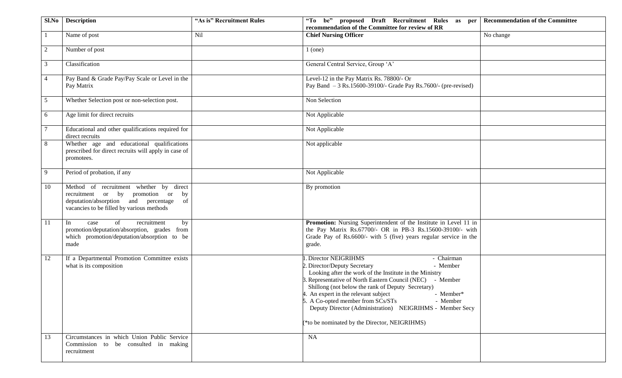| Sl.No           | <b>Description</b>                                                                                                                                                         | "As is" Recruitment Rules | "To be" proposed Draft Recruitment Rules as per<br><b>Recommendation of the Committee</b><br>recommendation of the Committee for review of RR                                                                                                                                                                                                                                                                                                                                |
|-----------------|----------------------------------------------------------------------------------------------------------------------------------------------------------------------------|---------------------------|------------------------------------------------------------------------------------------------------------------------------------------------------------------------------------------------------------------------------------------------------------------------------------------------------------------------------------------------------------------------------------------------------------------------------------------------------------------------------|
|                 | Name of post                                                                                                                                                               | Nil                       | <b>Chief Nursing Officer</b><br>No change                                                                                                                                                                                                                                                                                                                                                                                                                                    |
| 2               | Number of post                                                                                                                                                             |                           | $1$ (one)                                                                                                                                                                                                                                                                                                                                                                                                                                                                    |
| 3               | Classification                                                                                                                                                             |                           | General Central Service, Group 'A'                                                                                                                                                                                                                                                                                                                                                                                                                                           |
| $\overline{4}$  | Pay Band & Grade Pay/Pay Scale or Level in the<br>Pay Matrix                                                                                                               |                           | Level-12 in the Pay Matrix Rs. 78800/- Or<br>Pay Band $-3$ Rs.15600-39100/- Grade Pay Rs.7600/- (pre-revised)                                                                                                                                                                                                                                                                                                                                                                |
| $5\overline{)}$ | Whether Selection post or non-selection post.                                                                                                                              |                           | Non Selection                                                                                                                                                                                                                                                                                                                                                                                                                                                                |
| 6               | Age limit for direct recruits                                                                                                                                              |                           | Not Applicable                                                                                                                                                                                                                                                                                                                                                                                                                                                               |
| $\overline{7}$  | Educational and other qualifications required for<br>direct recruits                                                                                                       |                           | Not Applicable                                                                                                                                                                                                                                                                                                                                                                                                                                                               |
| 8               | Whether age and educational qualifications<br>prescribed for direct recruits will apply in case of<br>promotees.                                                           |                           | Not applicable                                                                                                                                                                                                                                                                                                                                                                                                                                                               |
| 9               | Period of probation, if any                                                                                                                                                |                           | Not Applicable                                                                                                                                                                                                                                                                                                                                                                                                                                                               |
| 10              | Method of recruitment whether by direct<br>recruitment or by promotion or<br>by<br>deputation/absorption and percentage<br>of<br>vacancies to be filled by various methods |                           | By promotion                                                                                                                                                                                                                                                                                                                                                                                                                                                                 |
| -11             | of<br>In<br>recruitment<br>by<br>case<br>promotion/deputation/absorption, grades from<br>which promotion/deputation/absorption to be<br>made                               |                           | Promotion: Nursing Superintendent of the Institute in Level 11 in<br>the Pay Matrix Rs.67700/- OR in PB-3 Rs.15600-39100/- with<br>Grade Pay of Rs.6600/- with 5 (five) years regular service in the<br>grade.                                                                                                                                                                                                                                                               |
| 12              | If a Departmental Promotion Committee exists<br>what is its composition                                                                                                    |                           | Director NEIGRIHMS<br>- Chairman<br>- Member<br>2. Director/Deputy Secretary<br>Looking after the work of the Institute in the Ministry<br>3. Representative of North Eastern Council (NEC) - Member<br>Shillong (not below the rank of Deputy Secretary)<br>4. An expert in the relevant subject<br>- Member*<br>5. A Co-opted member from SCs/STs<br>- Member<br>Deputy Director (Administration) NEIGRIHMS - Member Secy<br>(*to be nominated by the Director, NEIGRIHMS) |
| 13              | Circumstances in which Union Public Service<br>Commission to be consulted in making<br>recruitment                                                                         |                           | NA                                                                                                                                                                                                                                                                                                                                                                                                                                                                           |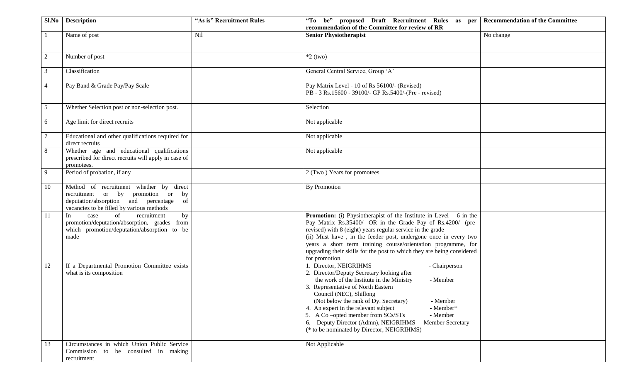| Sl.No          | <b>Description</b>                                                                                                                                                            | "As is" Recruitment Rules | "To be" proposed Draft Recruitment Rules as per<br>recommendation of the Committee for review of RR                                                                                                                                                                                                                                                                                                                                                                                 | <b>Recommendation of the Committee</b> |
|----------------|-------------------------------------------------------------------------------------------------------------------------------------------------------------------------------|---------------------------|-------------------------------------------------------------------------------------------------------------------------------------------------------------------------------------------------------------------------------------------------------------------------------------------------------------------------------------------------------------------------------------------------------------------------------------------------------------------------------------|----------------------------------------|
| -1             | Name of post                                                                                                                                                                  | Nil                       | <b>Senior Physiotherapist</b>                                                                                                                                                                                                                                                                                                                                                                                                                                                       | No change                              |
| $\overline{2}$ | Number of post                                                                                                                                                                |                           | $*2$ (two)                                                                                                                                                                                                                                                                                                                                                                                                                                                                          |                                        |
| 3              | Classification                                                                                                                                                                |                           | General Central Service, Group 'A'                                                                                                                                                                                                                                                                                                                                                                                                                                                  |                                        |
| $\overline{4}$ | Pay Band & Grade Pay/Pay Scale                                                                                                                                                |                           | Pay Matrix Level - 10 of Rs 56100/- (Revised)<br>PB - 3 Rs.15600 - 39100/- GP Rs.5400/-(Pre - revised)                                                                                                                                                                                                                                                                                                                                                                              |                                        |
| 5              | Whether Selection post or non-selection post.                                                                                                                                 |                           | Selection                                                                                                                                                                                                                                                                                                                                                                                                                                                                           |                                        |
| 6              | Age limit for direct recruits                                                                                                                                                 |                           | Not applicable                                                                                                                                                                                                                                                                                                                                                                                                                                                                      |                                        |
| $\tau$         | Educational and other qualifications required for<br>direct recruits                                                                                                          |                           | Not applicable                                                                                                                                                                                                                                                                                                                                                                                                                                                                      |                                        |
| 8              | Whether age and educational qualifications<br>prescribed for direct recruits will apply in case of<br>promotees.                                                              |                           | Not applicable                                                                                                                                                                                                                                                                                                                                                                                                                                                                      |                                        |
| 9              | Period of probation, if any                                                                                                                                                   |                           | 2 (Two) Years for promotees                                                                                                                                                                                                                                                                                                                                                                                                                                                         |                                        |
| 10             | Method of recruitment whether by direct<br>recruitment or by<br>promotion or<br>by<br>deputation/absorption and percentage<br>of<br>vacancies to be filled by various methods |                           | By Promotion                                                                                                                                                                                                                                                                                                                                                                                                                                                                        |                                        |
| 11             | of<br>recruitment<br>by<br>case<br>In<br>promotion/deputation/absorption, grades from<br>which promotion/deputation/absorption to be<br>made                                  |                           | <b>Promotion:</b> (i) Physiotherapist of the Institute in Level $-6$ in the<br>Pay Matrix Rs.35400/- OR in the Grade Pay of Rs.4200/- (pre-<br>revised) with 8 (eight) years regular service in the grade<br>(ii) Must have, in the feeder post, undergone once in every two<br>years a short term training course/orientation programme, for<br>upgrading their skills for the post to which they are being considered<br>for promotion.                                           |                                        |
| 12             | If a Departmental Promotion Committee exists<br>what is its composition                                                                                                       |                           | 1. Director, NEIGRIHMS<br>- Chairperson<br>2. Director/Deputy Secretary looking after<br>the work of the Institute in the Ministry<br>- Member<br>3. Representative of North Eastern<br>Council (NEC), Shillong<br>(Not below the rank of Dy. Secretary)<br>- Member<br>4. An expert in the relevant subject<br>- Member*<br>5. A Co-opted member from SCs/STs<br>- Member<br>6. Deputy Director (Admn), NEIGRIHMS - Member Secretary<br>(* to be nominated by Director, NEIGRIHMS) |                                        |
| 13             | Circumstances in which Union Public Service<br>Commission to be consulted in making<br>recruitment                                                                            |                           | Not Applicable                                                                                                                                                                                                                                                                                                                                                                                                                                                                      |                                        |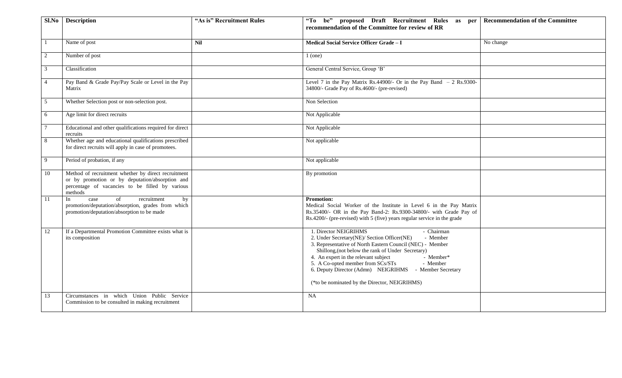| Sl.No          | <b>Description</b>                                                                                                                                                   | "As is" Recruitment Rules | "To be" proposed Draft Recruitment Rules as per<br>recommendation of the Committee for review of RR                                                                                                                                                                                                                                                                                                                               | <b>Recommendation of the Committee</b> |
|----------------|----------------------------------------------------------------------------------------------------------------------------------------------------------------------|---------------------------|-----------------------------------------------------------------------------------------------------------------------------------------------------------------------------------------------------------------------------------------------------------------------------------------------------------------------------------------------------------------------------------------------------------------------------------|----------------------------------------|
|                | Name of post                                                                                                                                                         | <b>Nil</b>                | Medical Social Service Officer Grade - I                                                                                                                                                                                                                                                                                                                                                                                          | No change                              |
| $\overline{2}$ | Number of post                                                                                                                                                       |                           | $1$ (one)                                                                                                                                                                                                                                                                                                                                                                                                                         |                                        |
| 3              | Classification                                                                                                                                                       |                           | General Central Service, Group 'B'                                                                                                                                                                                                                                                                                                                                                                                                |                                        |
| $\overline{4}$ | Pay Band & Grade Pay/Pay Scale or Level in the Pay<br>Matrix                                                                                                         |                           | Level 7 in the Pay Matrix Rs.44900/- Or in the Pay Band $-2$ Rs.9300-<br>34800/- Grade Pay of Rs.4600/- (pre-revised)                                                                                                                                                                                                                                                                                                             |                                        |
| 5              | Whether Selection post or non-selection post.                                                                                                                        |                           | Non Selection                                                                                                                                                                                                                                                                                                                                                                                                                     |                                        |
| 6              | Age limit for direct recruits                                                                                                                                        |                           | Not Applicable                                                                                                                                                                                                                                                                                                                                                                                                                    |                                        |
|                | Educational and other qualifications required for direct<br>recruits                                                                                                 |                           | Not Applicable                                                                                                                                                                                                                                                                                                                                                                                                                    |                                        |
| 8              | Whether age and educational qualifications prescribed<br>for direct recruits will apply in case of promotees.                                                        |                           | Not applicable                                                                                                                                                                                                                                                                                                                                                                                                                    |                                        |
| 9              | Period of probation, if any                                                                                                                                          |                           | Not applicable                                                                                                                                                                                                                                                                                                                                                                                                                    |                                        |
| 10             | Method of recruitment whether by direct recruitment<br>or by promotion or by deputation/absorption and<br>percentage of vacancies to be filled by various<br>methods |                           | By promotion                                                                                                                                                                                                                                                                                                                                                                                                                      |                                        |
| 11             | of<br>recruitment<br>In<br>case<br>by<br>promotion/deputation/absorption, grades from which<br>promotion/deputation/absorption to be made                            |                           | <b>Promotion:</b><br>Medical Social Worker of the Institute in Level 6 in the Pay Matrix<br>Rs.35400/- OR in the Pay Band-2: Rs.9300-34800/- with Grade Pay of<br>Rs.4200/- (pre-revised) with 5 (five) years regular service in the grade                                                                                                                                                                                        |                                        |
| 12             | If a Departmental Promotion Committee exists what is<br>its composition                                                                                              |                           | 1. Director NEIGRIHMS<br>- Chairman<br>- Member<br>2. Under Secretary(NE)/ Section Officer(NE)<br>3. Representative of North Eastern Council (NEC) - Member<br>Shillong, (not below the rank of Under Secretary)<br>4. An expert in the relevant subject<br>- Member*<br>5. A Co-opted member from SCs/STs<br>- Member<br>6. Deputy Director (Admn) NEIGRIHMS - Member Secretary<br>(*to be nominated by the Director, NEIGRIHMS) |                                        |
| 13             | Circumstances in which Union Public Service<br>Commission to be consulted in making recruitment                                                                      |                           | <b>NA</b>                                                                                                                                                                                                                                                                                                                                                                                                                         |                                        |